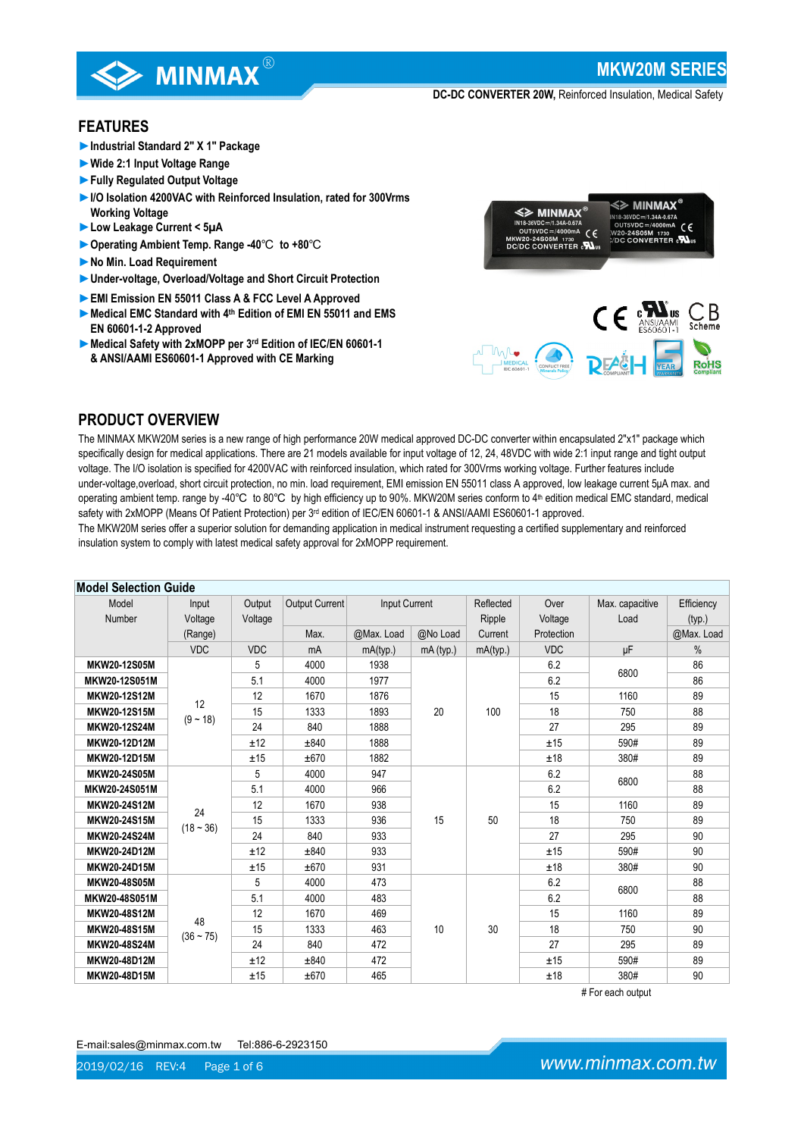

## **FEATURES**

- **►Industrial Standard 2" X 1" Package**
- **►Wide 2:1 Input Voltage Range**
- **►Fully Regulated Output Voltage**
- **►I/O Isolation 4200VAC with Reinforced Insulation, rated for 300Vrms Working Voltage**
- **►Low Leakage Current < 5µA**
- **►Operating Ambient Temp. Range -40**℃ **to +80**℃
- **►No Min. Load Requirement**
- **►Under-voltage, Overload/Voltage and Short Circuit Protection**
- **►EMI Emission EN 55011 Class A & FCC Level A Approved**
- **►Medical EMC Standard with 4th Edition of EMI EN 55011 and EMS EN 60601-1-2 Approved**
- **►Medical Safety with 2xMOPP per 3rd Edition of IEC/EN 60601-1 & ANSI/AAMI ES60601-1 Approved with CE Marking**



**DEA&H** 

**RoHS** 

# **PRODUCT OVERVIEW**

The MINMAX MKW20M series is a new range of high performance 20W medical approved DC-DC converter within encapsulated 2"x1" package which specifically design for medical applications. There are 21 models available for input voltage of 12, 24, 48VDC with wide 2:1 input range and tight output voltage. The I/O isolation is specified for 4200VAC with reinforced insulation, which rated for 300Vrms working voltage. Further features include under-voltage,overload, short circuit protection, no min. load requirement, EMI emission EN 55011 class A approved, low leakage current 5μA max. and operating ambient temp. range by -40℃ to 80℃ by high efficiency up to 90%. MKW20M series conform to 4<sup>th</sup> edition medical EMC standard, medical safety with 2xMOPP (Means Of Patient Protection) per 3<sup>rd</sup> edition of IEC/EN 60601-1 & ANSI/AAMI ES60601-1 approved.

The MKW20M series offer a superior solution for demanding application in medical instrument requesting a certified supplementary and reinforced insulation system to comply with latest medical safety approval for 2xMOPP requirement.

| <b>Model Selection Guide</b> |             |            |                |               |           |           |            |                 |            |
|------------------------------|-------------|------------|----------------|---------------|-----------|-----------|------------|-----------------|------------|
| Model                        | Input       | Output     | Output Current | Input Current |           | Reflected | Over       | Max. capacitive | Efficiency |
| Number                       | Voltage     | Voltage    |                |               |           | Ripple    | Voltage    | Load            | (typ.)     |
|                              | (Range)     |            | Max.           | @Max. Load    | @No Load  | Current   | Protection |                 | @Max. Load |
|                              | <b>VDC</b>  | <b>VDC</b> | mA             | mA(typ.)      | mA (typ.) | mA(typ.)  | <b>VDC</b> | μF              | $\%$       |
| MKW20-12S05M                 |             | 5          | 4000           | 1938          |           |           | 6.2        | 6800            | 86         |
| MKW20-12S051M                |             | 5.1        | 4000           | 1977          |           |           | 6.2        |                 | 86         |
| MKW20-12S12M                 | 12          | 12         | 1670           | 1876          |           |           | 15         | 1160            | 89         |
| MKW20-12S15M                 | $(9 - 18)$  | 15         | 1333           | 1893          | 20        | 100       | 18         | 750             | 88         |
| <b>MKW20-12S24M</b>          |             | 24         | 840            | 1888          |           |           | 27         | 295             | 89         |
| MKW20-12D12M                 |             | ±12        | ±840           | 1888          |           |           | ±15        | 590#            | 89         |
| MKW20-12D15M                 |             | ±15        | ±670           | 1882          |           |           | ±18        | 380#            | 89         |
| MKW20-24S05M                 |             | 5          | 4000           | 947           |           |           | 6.2        | 6800            | 88         |
| MKW20-24S051M                | 24          | 5.1        | 4000           | 966           |           |           | 6.2        |                 | 88         |
| <b>MKW20-24S12M</b>          |             | 12         | 1670           | 938           |           |           | 15         | 1160            | 89         |
| <b>MKW20-24S15M</b>          |             | 15         | 1333           | 936           | 15        | 50        | 18         | 750             | 89         |
| MKW20-24S24M                 | $(18 - 36)$ | 24         | 840            | 933           |           |           | 27         | 295             | 90         |
| MKW20-24D12M                 |             | ±12        | ±840           | 933           |           |           | ±15        | 590#            | 90         |
| MKW20-24D15M                 |             | ±15        | ±670           | 931           |           |           | ±18        | 380#            | 90         |
| <b>MKW20-48S05M</b>          |             | 5          | 4000           | 473           |           |           | 6.2        | 6800            | 88         |
| MKW20-48S051M                |             | 5.1        | 4000           | 483           |           |           | 6.2        |                 | 88         |
| <b>MKW20-48S12M</b>          | 48          | 12         | 1670           | 469           |           |           | 15         | 1160            | 89         |
| MKW20-48S15M                 | $(36 - 75)$ | 15         | 1333           | 463           | 10        | 30        | 18         | 750             | 90         |
| <b>MKW20-48S24M</b>          |             | 24         | 840            | 472           |           |           | 27         | 295             | 89         |
| MKW20-48D12M                 |             | ±12        | ±840           | 472           |           |           | ±15        | 590#            | 89         |
| MKW20-48D15M                 |             | ±15        | ±670           | 465           |           |           | ±18        | 380#            | 90         |

# For each output

E-mail:sales@minmax.com.tw Tel:886-6-2923150

2019/02/16 REV:4 Page 1 of 6

www.minmax.com.tw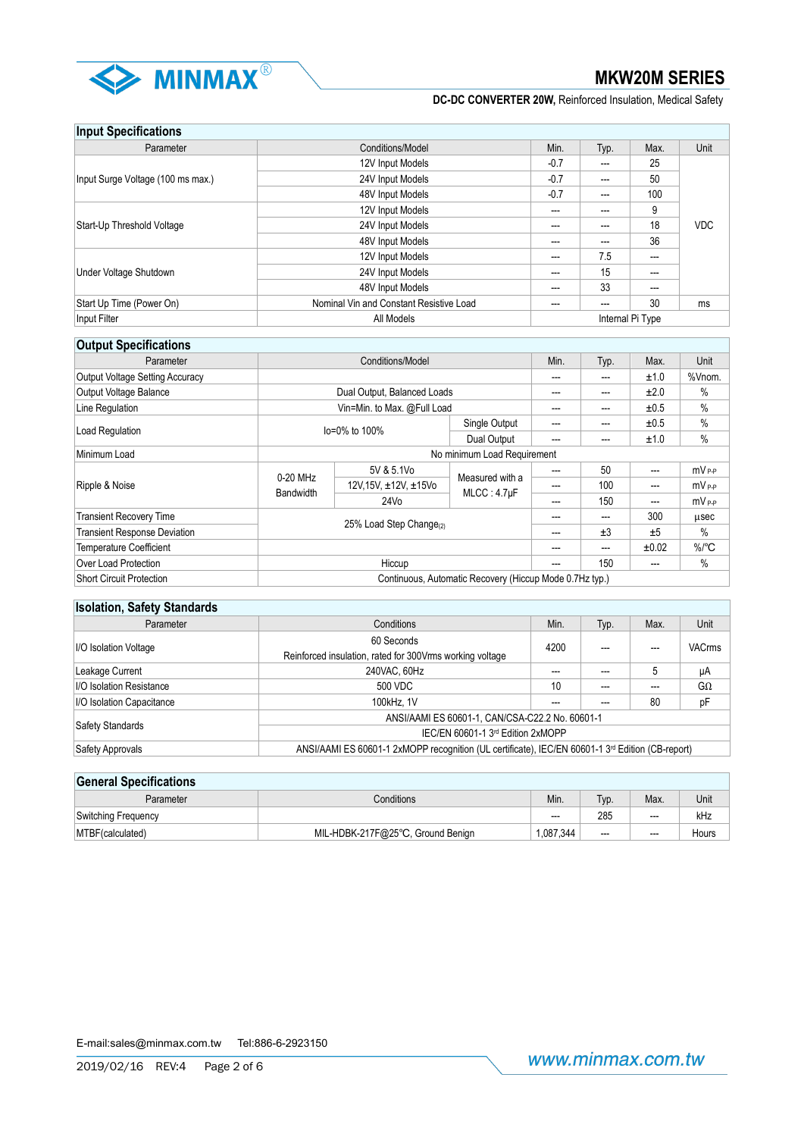

| <b>Input Specifications</b>       |                                         |        |      |                  |            |
|-----------------------------------|-----------------------------------------|--------|------|------------------|------------|
| Parameter                         | Conditions/Model                        | Min.   | Typ. | Max.             | Unit       |
|                                   | 12V Input Models                        | $-0.7$ | ---  | 25               |            |
| Input Surge Voltage (100 ms max.) | 24V Input Models                        | $-0.7$ | ---  | 50               |            |
|                                   | 48V Input Models                        | $-0.7$ | ---  | 100              |            |
|                                   | 12V Input Models                        | ---    | ---  | 9                |            |
| Start-Up Threshold Voltage        | 24V Input Models                        | ---    | ---  | 18               | <b>VDC</b> |
|                                   | 48V Input Models                        | ---    | ---  | 36               |            |
|                                   | 12V Input Models                        | ---    | 7.5  | ---              |            |
| Under Voltage Shutdown            | 24V Input Models                        | ---    | 15   | ---              |            |
|                                   | 48V Input Models                        | ---    | 33   | $---$            |            |
| Start Up Time (Power On)          | Nominal Vin and Constant Resistive Load | ---    | ---  | 30               | ms         |
| Input Filter                      | All Models                              |        |      | Internal Pi Type |            |

# **Output Specifications**

| <b>OUTPAT OPPOILINGTIONS</b>        |                                                         |                                     |                                |      |      |       |                     |
|-------------------------------------|---------------------------------------------------------|-------------------------------------|--------------------------------|------|------|-------|---------------------|
| Parameter                           | Conditions/Model                                        |                                     |                                | Min. | Typ. | Max.  | Unit                |
| Output Voltage Setting Accuracy     |                                                         |                                     |                                |      | ---  | ±1.0  | %Vnom.              |
| Output Voltage Balance              |                                                         | Dual Output, Balanced Loads         |                                | ---  | ---  | ±2.0  | %                   |
| Line Regulation                     |                                                         | Vin=Min. to Max. @Full Load         |                                | ---  | ---  | ±0.5  | $\%$                |
| Load Regulation                     |                                                         |                                     | Single Output                  | ---  | ---  | ±0.5  | $\%$                |
|                                     | $Io = 0\%$ to 100%                                      |                                     | Dual Output                    | ---  | ---  | ±1.0  | $\%$                |
| Minimum Load                        |                                                         |                                     | No minimum Load Requirement    |      |      |       |                     |
|                                     | 0-20 MHz<br><b>Bandwidth</b>                            | 5V & 5.1Vo                          | Measured with a<br>MLCC: 4.7µF | ---  | 50   | ---   | $mV_{P-P}$          |
| Ripple & Noise                      |                                                         | 12V, 15V, ±12V, ±15Vo               |                                |      | 100  | ---   | $mV_{P-P}$          |
|                                     |                                                         | 24V <sub>0</sub>                    |                                | ---  | 150  | ---   | $mv_{\rm PP}$       |
| <b>Transient Recovery Time</b>      |                                                         |                                     |                                |      | ---  | 300   | usec                |
| <b>Transient Response Deviation</b> |                                                         | 25% Load Step Change <sub>(2)</sub> |                                |      | ±3   | ±5    | $\%$                |
| <b>Temperature Coefficient</b>      |                                                         |                                     |                                | ---  | ---  | ±0.02 | $\%$ <sup>o</sup> C |
| Over Load Protection                | Hiccup                                                  |                                     |                                | ---  | 150  | ---   | $\%$                |
| <b>Short Circuit Protection</b>     | Continuous, Automatic Recovery (Hiccup Mode 0.7Hz typ.) |                                     |                                |      |      |       |                     |

| <b>Isolation, Safety Standards</b> |                                                                                                              |      |      |               |              |  |
|------------------------------------|--------------------------------------------------------------------------------------------------------------|------|------|---------------|--------------|--|
| Parameter                          | Conditions                                                                                                   | Min. | Typ. | Max.          | Unit         |  |
| I/O Isolation Voltage              | 60 Seconds<br>4200<br>Reinforced insulation, rated for 300 Vrms working voltage                              |      | ---  | <b>VACrms</b> |              |  |
| Leakage Current                    | 240VAC, 60Hz                                                                                                 | ---  | ---  | 5             | μA           |  |
| I/O Isolation Resistance           | 500 VDC                                                                                                      | 10   | ---  | ---           | $G_{\Omega}$ |  |
| I/O Isolation Capacitance          | 100kHz. 1V                                                                                                   |      |      | 80            | pF           |  |
|                                    | ANSI/AAMI ES 60601-1, CAN/CSA-C22.2 No. 60601-1                                                              |      |      |               |              |  |
| Safety Standards                   | IEC/EN 60601-1 3rd Edition 2xMOPP                                                                            |      |      |               |              |  |
| Safety Approvals                   | ANSI/AAMI ES 60601-1 2xMOPP recognition (UL certificate), IEC/EN 60601-1 3 <sup>rd</sup> Edition (CB-report) |      |      |               |              |  |

| <b>General Specifications</b> |                                   |           |       |         |       |  |
|-------------------------------|-----------------------------------|-----------|-------|---------|-------|--|
| Parameter                     | Conditions                        | Min.      | Typ.  | Max.    | Unit  |  |
| Switching Frequency           |                                   | $---$     | 285   | $- - -$ | kHz   |  |
| MTBF (calculated)             | MIL-HDBK-217F@25°C, Ground Benign | 1.087.344 | $---$ | $- - -$ | Hours |  |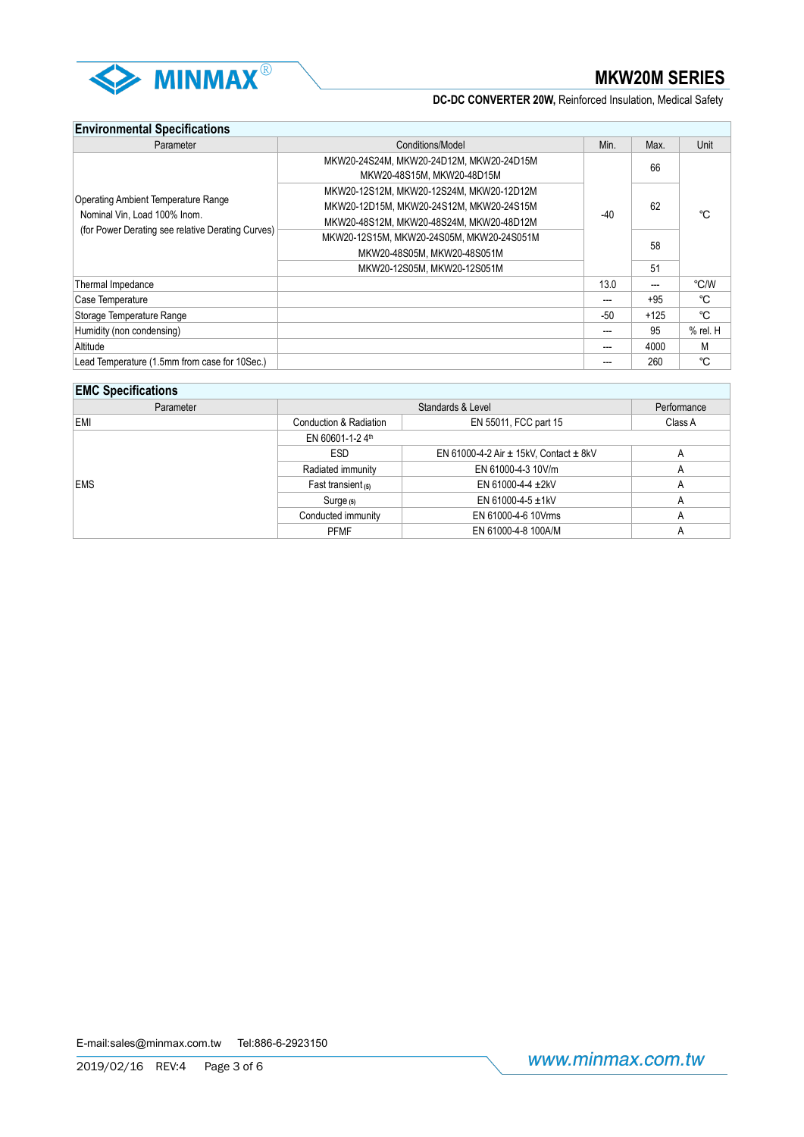

# **Environmental Specifications**

| Parameter                                                                  | Conditions/Model                                                                     | Min.  | Max.   | Unit         |
|----------------------------------------------------------------------------|--------------------------------------------------------------------------------------|-------|--------|--------------|
|                                                                            | MKW20-24S24M, MKW20-24D12M, MKW20-24D15M<br>MKW20-48S15M, MKW20-48D15M               |       | 66     |              |
|                                                                            | MKW20-12S12M, MKW20-12S24M, MKW20-12D12M<br>MKW20-12D15M. MKW20-24S12M. MKW20-24S15M |       | 62     | °C           |
| <b>Operating Ambient Temperature Range</b><br>Nominal Vin, Load 100% Inom. |                                                                                      |       |        |              |
| (for Power Derating see relative Derating Curves)                          | MKW20-48S12M, MKW20-48S24M, MKW20-48D12M                                             | $-40$ |        |              |
|                                                                            | MKW20-12S15M, MKW20-24S05M, MKW20-24S051M                                            |       | 58     |              |
|                                                                            | MKW20-48S05M, MKW20-48S051M                                                          |       |        |              |
|                                                                            | MKW20-12S05M, MKW20-12S051M                                                          |       | 51     |              |
| Thermal Impedance                                                          |                                                                                      | 13.0  | ---    | °C/W         |
| Case Temperature                                                           |                                                                                      |       | $+95$  | °C           |
| Storage Temperature Range                                                  |                                                                                      | $-50$ | $+125$ | °C           |
| Humidity (non condensing)                                                  |                                                                                      |       | 95     | $%$ rel. $H$ |
| Altitude                                                                   |                                                                                      |       | 4000   | M            |
| Lead Temperature (1.5mm from case for 10Sec.)                              |                                                                                      |       | 260    | °C           |

| <b>EMC Specifications</b> |                                                |                   |  |  |  |
|---------------------------|------------------------------------------------|-------------------|--|--|--|
|                           | Performance                                    |                   |  |  |  |
| Conduction & Radiation    | EN 55011, FCC part 15                          | Class A           |  |  |  |
| EN 60601-1-2 4th          |                                                |                   |  |  |  |
| <b>ESD</b>                | EN 61000-4-2 Air $\pm$ 15kV, Contact $\pm$ 8kV |                   |  |  |  |
| Radiated immunity         | EN 61000-4-3 10V/m                             | А                 |  |  |  |
| Fast transient $(5)$      | EN 61000-4-4 $\pm$ 2kV                         | A                 |  |  |  |
| $Surge_{(5)}$             | EN 61000-4-5 $\pm$ 1kV                         | A                 |  |  |  |
| Conducted immunity        | EN 61000-4-6 10Vrms                            |                   |  |  |  |
| <b>PFMF</b>               | EN 61000-4-8 100A/M                            |                   |  |  |  |
|                           |                                                | Standards & Level |  |  |  |

E-mail:sales@minmax.com.tw Tel:886-6-2923150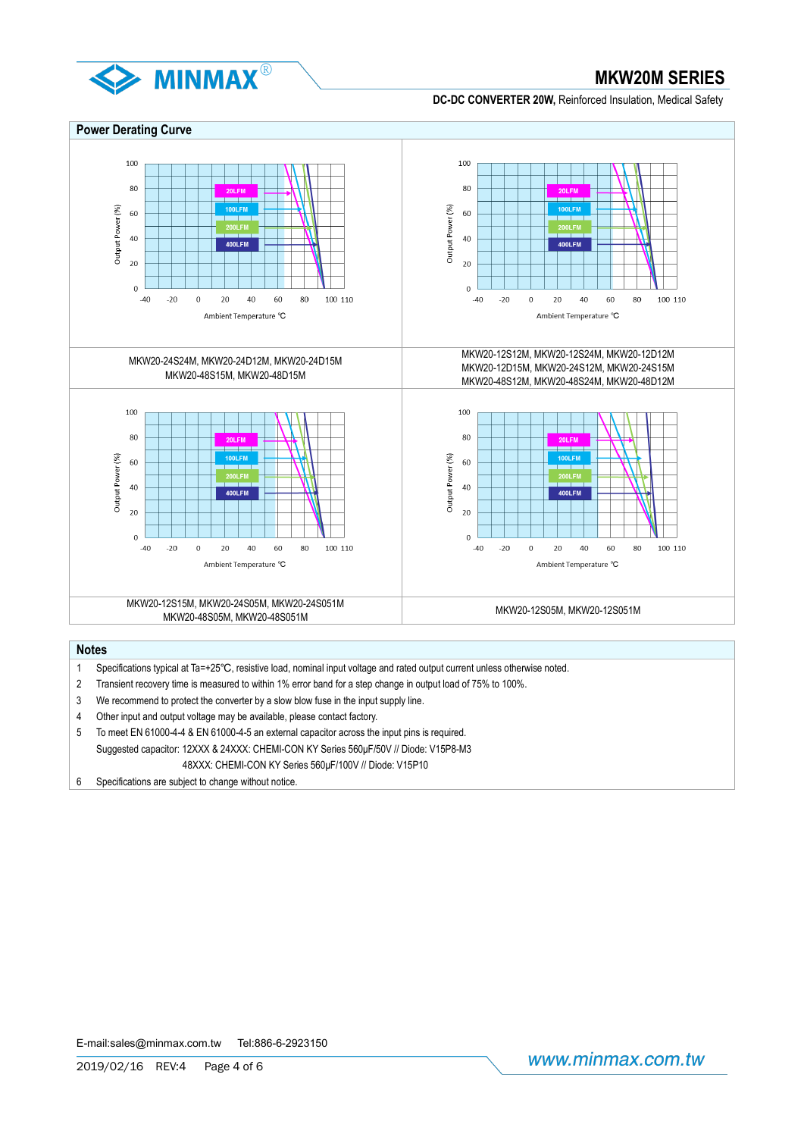



# **Notes**

- 1 Specifications typical at Ta=+25℃, resistive load, nominal input voltage and rated output current unless otherwise noted.
- 2 Transient recovery time is measured to within 1% error band for a step change in output load of 75% to 100%.
- 3 We recommend to protect the converter by a slow blow fuse in the input supply line.
- 4 Other input and output voltage may be available, please contact factory.
- 5 To meet EN 61000-4-4 & EN 61000-4-5 an external capacitor across the input pins is required. Suggested capacitor: 12XXX & 24XXX: CHEMI-CON KY Series 560μF/50V // Diode: V15P8-M3 48XXX: CHEMI-CON KY Series 560μF/100V // Diode: V15P10
- 6 Specifications are subject to change without notice.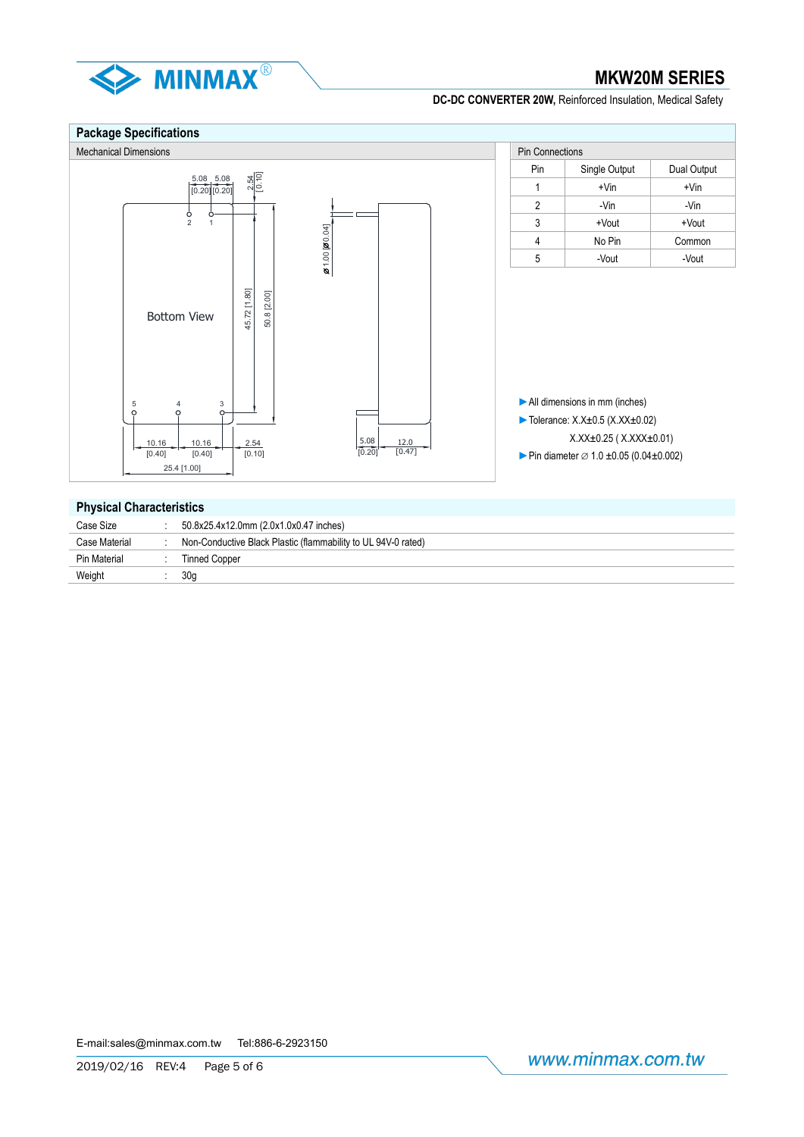



## **Physical Characteristics**

| __            |                                                               |
|---------------|---------------------------------------------------------------|
| Case Size     | 50.8x25.4x12.0mm (2.0x1.0x0.47 inches)                        |
| Case Material | Non-Conductive Black Plastic (flammability to UL 94V-0 rated) |
| Pin Material  | <b>Tinned Copper</b>                                          |
| Weight        | 30 <sub>a</sub>                                               |
|               |                                                               |